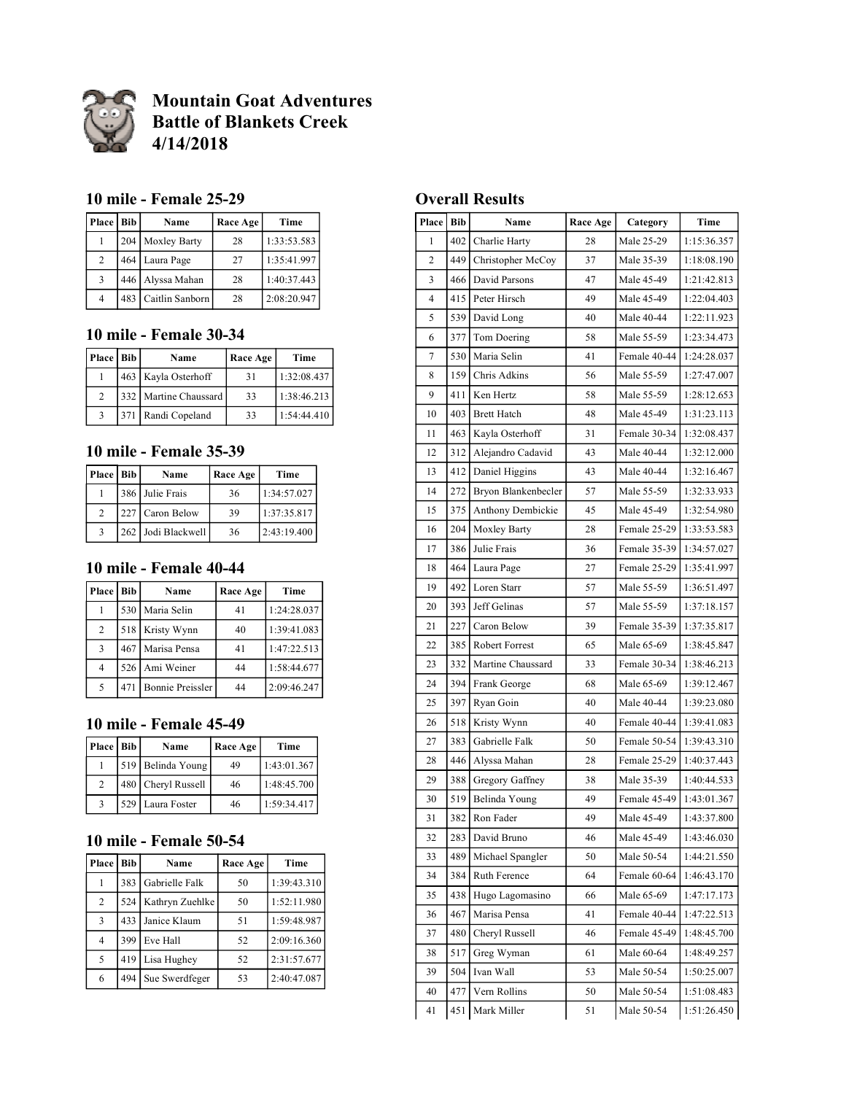

**Mountain Goat Adventures Battle of Blankets Creek 4/14/2018**

### **10 mile - Female 25-29**

| Place   Bib    | Name                | Race Age | Time        |
|----------------|---------------------|----------|-------------|
|                | 204 Moxley Barty    | 28       | 1:33:53.583 |
| 2              | 464 Laura Page      | 27       | 1:35:41.997 |
| 3              | 446 Alyssa Mahan    | 28       | 1:40:37.443 |
| $\overline{4}$ | 483 Caitlin Sanborn | 28       | 2:08:20.947 |

## **10 mile - Female 30-34**

| Place   Bib   | Name                  | Race Age | Time        |
|---------------|-----------------------|----------|-------------|
|               | 463 Kayla Osterhoff   | 31       | 1:32:08.437 |
| $\mathcal{D}$ | 332 Martine Chaussard | 33       | 1:38:46.213 |
| $\mathbf{3}$  | 371 Randi Copeland    | 33       | 1:54:44.410 |

## **10 mile - Female 35-39**

| Place   Bib    | Name               | Race Age | Time        |
|----------------|--------------------|----------|-------------|
|                | 386 Julie Frais    | 36       | 1:34:57.027 |
| $\mathfrak{D}$ | 227 Caron Below    | 39       | 1:37:35.817 |
| 3              | 262 Jodi Blackwell | 36       | 2:43:19.400 |

# **10 mile - Female 40-44**

| <b>Place</b> L | <b>Bib</b> | Name                    | Race Age | Time        |
|----------------|------------|-------------------------|----------|-------------|
|                |            | 530 Maria Selin         | 41       | 1:24:28.037 |
| 2              |            | 518 Kristy Wynn         | 40       | 1:39:41.083 |
| 3              |            | 467 Marisa Pensa        | 41       | 1:47:22.513 |
| $\overline{4}$ |            | 526 Ami Weiner          | 44       | 1:58:44.677 |
| $\sim$         | 471        | <b>Bonnie Preissler</b> | 44       | 2:09:46.247 |

## **10 mile - Female 45-49**

| Place   Bib | Name               | Race Age | Time        |
|-------------|--------------------|----------|-------------|
|             | 519 Belinda Young  | 49       | 1:43:01.367 |
| 2           | 480 Cheryl Russell | 46       | 1:48:45.700 |
|             | 529 Laura Foster   | 46       | 1:59:34.417 |

### **10 mile - Female 50-54**

| Place          | <b>Bib</b> | Name            | Race Age | Time        |
|----------------|------------|-----------------|----------|-------------|
|                | 383        | Gabrielle Falk  | 50       | 1:39:43.310 |
| $\overline{2}$ | 524        | Kathryn Zuehlke | 50       | 1:52:11.980 |
| 3              | 433        | Janice Klaum    | 51       | 1:59:48.987 |
| 4              | 399        | Eve Hall        | 52       | 2:09:16.360 |
| 5              | 419        | Lisa Hughey     | 52       | 2:31:57.677 |
| 6              | 494        | Sue Swerdfeger  | 53       | 2:40:47.087 |

## **Overall Results**

| Place          | <b>Bib</b> | Name                | Race Age | Category     | Time        |
|----------------|------------|---------------------|----------|--------------|-------------|
| 1              | 402        | Charlie Harty       | 28       | Male 25-29   | 1:15:36.357 |
| $\overline{c}$ | 449        | Christopher McCoy   | 37       | Male 35-39   | 1:18:08.190 |
| 3              | 466        | David Parsons       | 47       | Male 45-49   | 1:21:42.813 |
| 4              | 415        | Peter Hirsch        | 49       | Male 45-49   | 1:22:04.403 |
| 5              | 539        | David Long          | 40       | Male 40-44   | 1:22:11.923 |
| 6              | 377        | Tom Doering         | 58       | Male 55-59   | 1:23:34.473 |
| 7              | 530        | Maria Selin         | 41       | Female 40-44 | 1:24:28.037 |
| 8              | 159        | Chris Adkins        | 56       | Male 55-59   | 1:27:47.007 |
| 9              | 411        | Ken Hertz           | 58       | Male 55-59   | 1:28:12.653 |
| 10             | 403        | <b>Brett Hatch</b>  | 48       | Male 45-49   | 1:31:23.113 |
| 11             | 463        | Kayla Osterhoff     | 31       | Female 30-34 | 1:32:08.437 |
| 12             | 312        | Alejandro Cadavid   | 43       | Male 40-44   | 1:32:12.000 |
| 13             | 412        | Daniel Higgins      | 43       | Male 40-44   | 1:32:16.467 |
| 14             | 272        | Bryon Blankenbecler | 57       | Male 55-59   | 1:32:33.933 |
| 15             | 375        | Anthony Dembickie   | 45       | Male 45-49   | 1:32:54.980 |
| 16             | 204        | Moxley Barty        | 28       | Female 25-29 | 1:33:53.583 |
| 17             | 386        | Julie Frais         | 36       | Female 35-39 | 1:34:57.027 |
| 18             | 464        | Laura Page          | 27       | Female 25-29 | 1:35:41.997 |
| 19             | 492        | Loren Starr         | 57       | Male 55-59   | 1:36:51.497 |
| 20             | 393        | Jeff Gelinas        | 57       | Male 55-59   | 1:37:18.157 |
| 21             | 227        | Caron Below         | 39       | Female 35-39 | 1:37:35.817 |
| 22             | 385        | Robert Forrest      | 65       | Male 65-69   | 1:38:45.847 |
| 23             | 332        | Martine Chaussard   | 33       | Female 30-34 | 1:38:46.213 |
| 24             | 394        | Frank George        | 68       | Male 65-69   | 1:39:12.467 |
| 25             | 397        | Ryan Goin           | 40       | Male 40-44   | 1:39:23.080 |
| 26             | 518        | Kristy Wynn         | 40       | Female 40-44 | 1:39:41.083 |
| 27             | 383        | Gabrielle Falk      | 50       | Female 50-54 | 1:39:43.310 |
| 28             | 446        | Alyssa Mahan        | 28       | Female 25-29 | 1:40:37.443 |
| 29             | 388        | Gregory Gaffney     | 38       | Male 35-39   | 1:40:44.533 |
| 30             | 519        | Belinda Young       | 49       | Female 45-49 | 1:43:01.367 |
| 31             | 382        | Ron Fader           | 49       | Male 45-49   | 1:43:37.800 |
| 32             | 283        | David Bruno         | 46       | Male 45-49   | 1:43:46.030 |
| 33             | 489        | Michael Spangler    | 50       | Male 50-54   | 1:44:21.550 |
| 34             | 384        | Ruth Ference        | 64       | Female 60-64 | 1:46:43.170 |
| 35             | 438        | Hugo Lagomasino     | 66       | Male 65-69   | 1:47:17.173 |
| 36             | 467        | Marisa Pensa        | 41       | Female 40-44 | 1:47:22.513 |
| 37             | 480        | Cheryl Russell      | 46       | Female 45-49 | 1:48:45.700 |
| 38             | 517        | Greg Wyman          | 61       | Male 60-64   | 1:48:49.257 |
| 39             | 504        | Ivan Wall           | 53       | Male 50-54   | 1:50:25.007 |
| 40             | 477        | Vern Rollins        | 50       | Male 50-54   | 1:51:08.483 |
| 41             | 451        | Mark Miller         | 51       | Male 50-54   | 1:51:26.450 |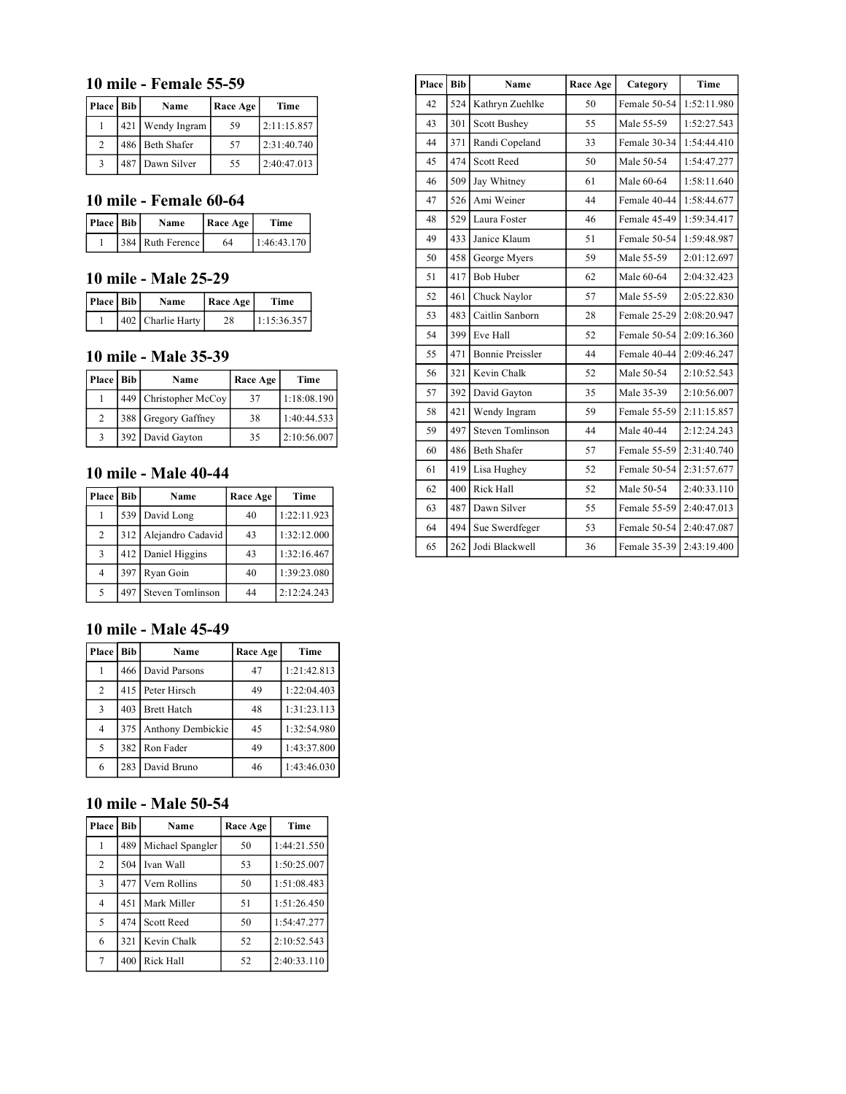### **10 mile - Female 55-59**

| Place   Bib | Name             | <b>Race Age</b> | Time        |
|-------------|------------------|-----------------|-------------|
|             | 421 Wendy Ingram | 59              | 2:11:15.857 |
| 2           | 486 Beth Shafer  | 57              | 2:31:40.740 |
|             | 487 Dawn Silver  | 55              | 2:40:47.013 |

## **10 mile - Female 60-64**

| Place   Bib | Name             | Race Age | Time        |
|-------------|------------------|----------|-------------|
|             | 384 Ruth Ference | 64       | 1:46:43.170 |

#### **10 mile - Male 25-29**

| Place   Bib | Name              | Race Age | Time        |
|-------------|-------------------|----------|-------------|
|             | 402 Charlie Harty | 28       | 1:15:36.357 |

# **10 mile - Male 35-39**

| Place   Bib    | Name                  | Race Age | Time        |
|----------------|-----------------------|----------|-------------|
|                | 449 Christopher McCoy | 37       | 1:18:08.190 |
| $\mathfrak{D}$ | 388 Gregory Gaffney   | 38       | 1:40:44.533 |
|                | 392 David Gayton      | 35       | 2:10:56.007 |

# **10 mile - Male 40-44**

| Place          | <b>Bib</b> | Name               | Race Age | Time        |
|----------------|------------|--------------------|----------|-------------|
|                |            | 539 David Long     | 40       | 1:22:11.923 |
| $\overline{2}$ | 312        | Alejandro Cadavid  | 43       | 1:32:12.000 |
| $\mathbf{3}$   |            | 412 Daniel Higgins | 43       | 1:32:16.467 |
| $\overline{4}$ | 397        | Ryan Goin          | 40       | 1:39:23.080 |
| 5              | 497        | Steven Tomlinson   | 44       | 2:12:24.243 |

## **10 mile - Male 45-49**

| Place | <b>Bib</b> | Name               | Race Age | Time        |
|-------|------------|--------------------|----------|-------------|
|       |            | 466 David Parsons  | 47       | 1:21:42.813 |
| 2     |            | 415 Peter Hirsch   | 49       | 1:22:04.403 |
| 3     | 403        | <b>Brett Hatch</b> | 48       | 1:31:23.113 |
| 4     | 375        | Anthony Dembickie  | 45       | 1:32:54.980 |
| 5     | 382        | Ron Fader          | 49       | 1:43:37.800 |
| 6     | 283        | David Bruno        | 46       | 1:43:46.030 |

## **10 mile - Male 50-54**

| Place          | Bib | Name              | Race Age | Time        |
|----------------|-----|-------------------|----------|-------------|
|                | 489 | Michael Spangler  | 50       | 1:44:21.550 |
| $\overline{2}$ | 504 | Ivan Wall         | 53       | 1:50:25.007 |
| $\overline{3}$ | 477 | Vern Rollins      | 50       | 1:51:08.483 |
| 4              | 451 | Mark Miller       | 51       | 1:51:26.450 |
| 5              | 474 | <b>Scott Reed</b> | 50       | 1:54:47.277 |
| 6              | 321 | Kevin Chalk       | 52       | 2:10:52.543 |
| 7              | 400 | Rick Hall         | 52       | 2:40:33.110 |

| Place | <b>Bib</b> | Name                    | Race Age | Category     | Time        |
|-------|------------|-------------------------|----------|--------------|-------------|
| 42    | 524        | Kathryn Zuehlke         | 50       | Female 50-54 | 1:52:11.980 |
| 43    | 301        | <b>Scott Bushey</b>     | 55       | Male 55-59   | 1:52:27.543 |
| 44    | 371        | Randi Copeland          | 33       | Female 30-34 | 1:54:44.410 |
| 45    | 474        | Scott Reed              | 50       | Male 50-54   | 1:54:47.277 |
| 46    | 509        | Jay Whitney             | 61       | Male 60-64   | 1:58:11.640 |
| 47    | 526        | Ami Weiner              | 44       | Female 40-44 | 1:58:44.677 |
| 48    | 529        | Laura Foster            | 46       | Female 45-49 | 1:59:34.417 |
| 49    | 433        | Janice Klaum            | 51       | Female 50-54 | 1:59:48.987 |
| 50    | 458        | George Myers            | 59       | Male 55-59   | 2:01:12.697 |
| 51    | 417        | <b>Bob Huber</b>        | 62       | Male 60-64   | 2:04:32.423 |
| 52    | 461        | Chuck Naylor            | 57       | Male 55-59   | 2:05:22.830 |
| 53    | 483        | Caitlin Sanborn         | 28       | Female 25-29 | 2:08:20.947 |
| 54    | 399        | Eve Hall                | 52       | Female 50-54 | 2:09:16.360 |
| 55    | 471        | <b>Bonnie Preissler</b> | 44       | Female 40-44 | 2:09:46.247 |
| 56    | 321        | Kevin Chalk             | 52       | Male 50-54   | 2:10:52.543 |
| 57    | 392        | David Gayton            | 35       | Male 35-39   | 2:10:56.007 |
| 58    | 421        | Wendy Ingram            | 59       | Female 55-59 | 2:11:15.857 |
| 59    | 497        | Steven Tomlinson        | 44       | Male 40-44   | 2:12:24.243 |
| 60    | 486        | <b>Beth Shafer</b>      | 57       | Female 55-59 | 2:31:40.740 |
| 61    | 419        | Lisa Hughey             | 52       | Female 50-54 | 2:31:57.677 |
| 62    | 400        | <b>Rick Hall</b>        | 52       | Male 50-54   | 2:40:33.110 |
| 63    | 487        | Dawn Silver             | 55       | Female 55-59 | 2:40:47.013 |
| 64    | 494        | Sue Swerdfeger          | 53       | Female 50-54 | 2:40:47.087 |
| 65    | 262        | Jodi Blackwell          | 36       | Female 35-39 | 2:43:19.400 |